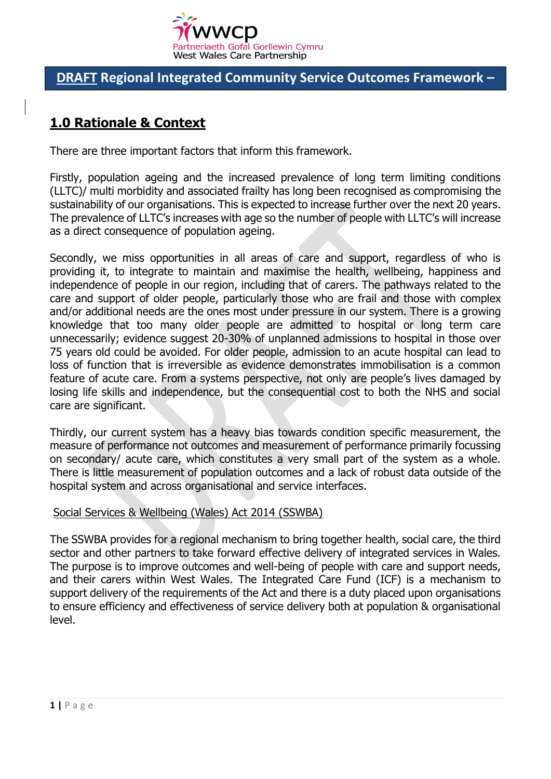

## **DRAFT Regional Integrated Community Service Outcomes Framework –**

# **1.0 Rationale & Context**

There are three important factors that inform this framework.

Firstly, population ageing and the increased prevalence of long term limiting conditions (LLTC)/ multi morbidity and associated frailty has long been recognised as compromising the sustainability of our organisations. This is expected to increase further over the next 20 years. The prevalence of LLTC's increases with age so the number of people with LLTC's will increase as a direct consequence of population ageing.

Secondly, we miss opportunities in all areas of care and support, regardless of who is providing it, to integrate to maintain and maximise the health, wellbeing, happiness and independence of people in our region, including that of carers. The pathways related to the care and support of older people, particularly those who are frail and those with complex and/or additional needs are the ones most under pressure in our system. There is a growing knowledge that too many older people are admitted to hospital or long term care unnecessarily; evidence suggest 20-30% of unplanned admissions to hospital in those over 75 years old could be avoided. For older people, admission to an acute hospital can lead to loss of function that is irreversible as evidence demonstrates immobilisation is a common feature of acute care. From a systems perspective, not only are people's lives damaged by losing life skills and independence, but the consequential cost to both the NHS and social care are significant.

Thirdly, our current system has a heavy bias towards condition specific measurement, the measure of performance not outcomes and measurement of performance primarily focussing on secondary/ acute care, which constitutes a very small part of the system as a whole. There is little measurement of population outcomes and a lack of robust data outside of the hospital system and across organisational and service interfaces.

#### Social Services & Wellbeing (Wales) Act 2014 (SSWBA)

The SSWBA provides for a regional mechanism to bring together health, social care, the third sector and other partners to take forward effective delivery of integrated services in Wales. The purpose is to improve outcomes and well-being of people with care and support needs, and their carers within West Wales. The Integrated Care Fund (ICF) is a mechanism to support delivery of the requirements of the Act and there is a duty placed upon organisations to ensure efficiency and effectiveness of service delivery both at population & organisational level.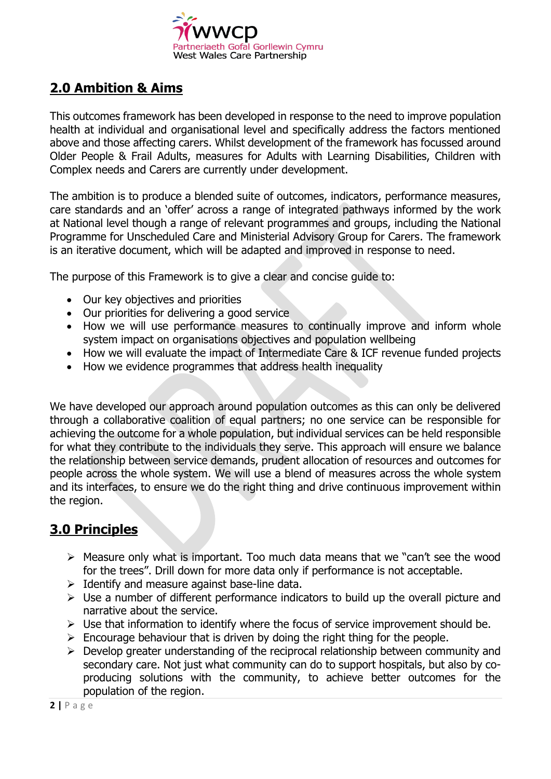

## **2.0 Ambition & Aims**

This outcomes framework has been developed in response to the need to improve population health at individual and organisational level and specifically address the factors mentioned above and those affecting carers. Whilst development of the framework has focussed around Older People & Frail Adults, measures for Adults with Learning Disabilities, Children with Complex needs and Carers are currently under development.

The ambition is to produce a blended suite of outcomes, indicators, performance measures, care standards and an 'offer' across a range of integrated pathways informed by the work at National level though a range of relevant programmes and groups, including the National Programme for Unscheduled Care and Ministerial Advisory Group for Carers. The framework is an iterative document, which will be adapted and improved in response to need.

The purpose of this Framework is to give a clear and concise guide to:

- Our key objectives and priorities
- Our priorities for delivering a good service
- How we will use performance measures to continually improve and inform whole system impact on organisations objectives and population wellbeing
- How we will evaluate the impact of Intermediate Care & ICF revenue funded projects
- How we evidence programmes that address health inequality

We have developed our approach around population outcomes as this can only be delivered through a collaborative coalition of equal partners; no one service can be responsible for achieving the outcome for a whole population, but individual services can be held responsible for what they contribute to the individuals they serve. This approach will ensure we balance the relationship between service demands, prudent allocation of resources and outcomes for people across the whole system. We will use a blend of measures across the whole system and its interfaces, to ensure we do the right thing and drive continuous improvement within the region.

## **3.0 Principles**

- $\triangleright$  Measure only what is important. Too much data means that we "can't see the wood for the trees". Drill down for more data only if performance is not acceptable.
- $\triangleright$  Identify and measure against base-line data.
- $\triangleright$  Use a number of different performance indicators to build up the overall picture and narrative about the service.
- $\triangleright$  Use that information to identify where the focus of service improvement should be.
- $\triangleright$  Encourage behaviour that is driven by doing the right thing for the people.
- $\triangleright$  Develop greater understanding of the reciprocal relationship between community and secondary care. Not just what community can do to support hospitals, but also by coproducing solutions with the community, to achieve better outcomes for the population of the region.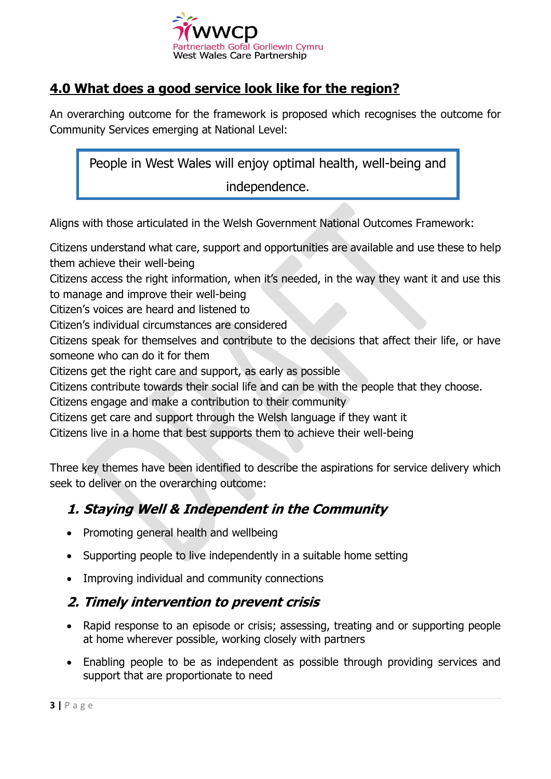

## **4.0 What does a good service look like for the region?**

An overarching outcome for the framework is proposed which recognises the outcome for Community Services emerging at National Level:

People in West Wales will enjoy optimal health, well-being and independence.

Aligns with those articulated in the Welsh Government National Outcomes Framework:

Citizens understand what care, support and opportunities are available and use these to help them achieve their well-being

Citizens access the right information, when it's needed, in the way they want it and use this to manage and improve their well-being

Citizen's voices are heard and listened to

Citizen's individual circumstances are considered

Citizens speak for themselves and contribute to the decisions that affect their life, or have someone who can do it for them

Citizens get the right care and support, as early as possible

Citizens contribute towards their social life and can be with the people that they choose.

Citizens engage and make a contribution to their community

Citizens get care and support through the Welsh language if they want it

Citizens live in a home that best supports them to achieve their well-being

Three key themes have been identified to describe the aspirations for service delivery which seek to deliver on the overarching outcome:

## **1. Staying Well & Independent in the Community**

- Promoting general health and wellbeing
- Supporting people to live independently in a suitable home setting
- Improving individual and community connections

### **2. Timely intervention to prevent crisis**

- Rapid response to an episode or crisis; assessing, treating and or supporting people at home wherever possible, working closely with partners
- Enabling people to be as independent as possible through providing services and support that are proportionate to need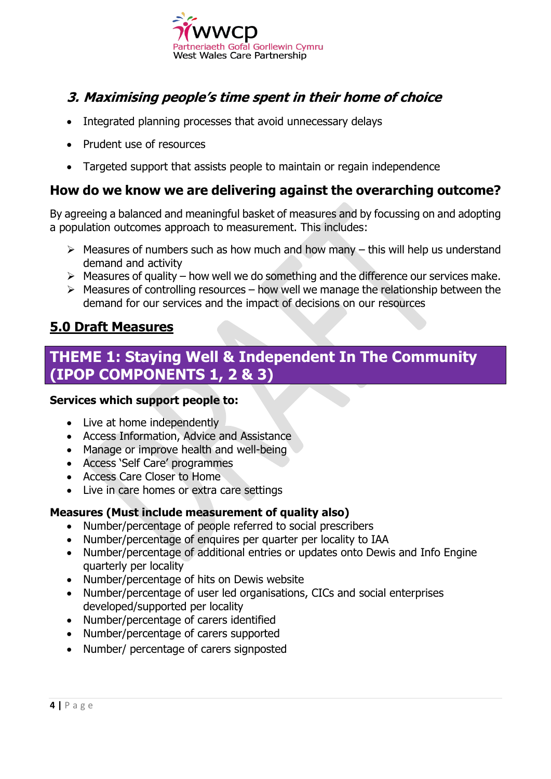

# **3. Maximising people's time spent in their home of choice**

- Integrated planning processes that avoid unnecessary delays
- Prudent use of resources
- Targeted support that assists people to maintain or regain independence

### **How do we know we are delivering against the overarching outcome?**

By agreeing a balanced and meaningful basket of measures and by focussing on and adopting a population outcomes approach to measurement. This includes:

- $\triangleright$  Measures of numbers such as how much and how many this will help us understand demand and activity
- $\triangleright$  Measures of quality how well we do something and the difference our services make.
- $\triangleright$  Measures of controlling resources how well we manage the relationship between the demand for our services and the impact of decisions on our resources

### **5.0 Draft Measures**

# **THEME 1: Staying Well & Independent In The Community (IPOP COMPONENTS 1, 2 & 3)**

### **Services which support people to:**

- Live at home independently
- Access Information, Advice and Assistance
- Manage or improve health and well-being
- Access 'Self Care' programmes
- Access Care Closer to Home
- Live in care homes or extra care settings

### **Measures (Must include measurement of quality also)**

- Number/percentage of people referred to social prescribers
- Number/percentage of enquires per quarter per locality to IAA
- Number/percentage of additional entries or updates onto Dewis and Info Engine quarterly per locality
- Number/percentage of hits on Dewis website
- Number/percentage of user led organisations, CICs and social enterprises developed/supported per locality
- Number/percentage of carers identified
- Number/percentage of carers supported
- Number/ percentage of carers signposted